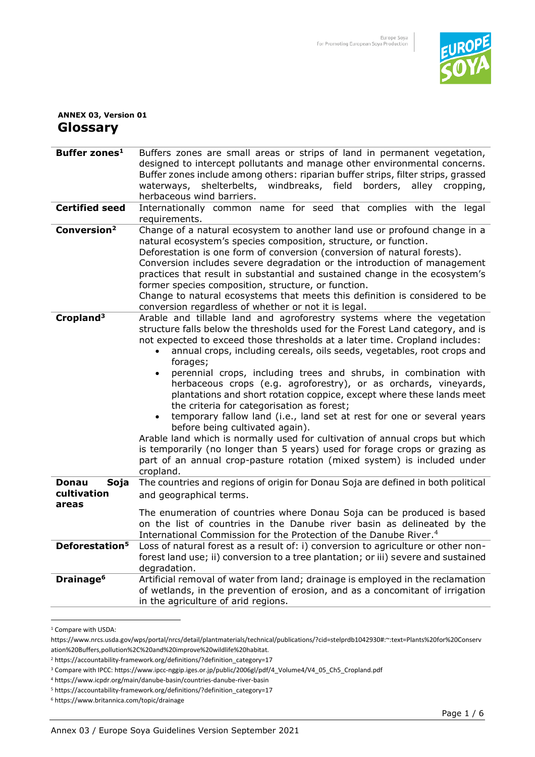

## **ANNEX 03, Version 01 Glossary**

| Buffer zones <sup>1</sup>                    | Buffers zones are small areas or strips of land in permanent vegetation,<br>designed to intercept pollutants and manage other environmental concerns.<br>Buffer zones include among others: riparian buffer strips, filter strips, grassed<br>shelterbelts, windbreaks, field borders,<br>waterways,<br>alley<br>cropping,<br>herbaceous wind barriers.                                                                                                                                                                                                                                                                                                                                                                                                                                                                                                                                                                                                                         |
|----------------------------------------------|---------------------------------------------------------------------------------------------------------------------------------------------------------------------------------------------------------------------------------------------------------------------------------------------------------------------------------------------------------------------------------------------------------------------------------------------------------------------------------------------------------------------------------------------------------------------------------------------------------------------------------------------------------------------------------------------------------------------------------------------------------------------------------------------------------------------------------------------------------------------------------------------------------------------------------------------------------------------------------|
| <b>Certified seed</b>                        | Internationally common name for seed that complies with the legal<br>requirements.                                                                                                                                                                                                                                                                                                                                                                                                                                                                                                                                                                                                                                                                                                                                                                                                                                                                                              |
| Conversion <sup>2</sup>                      | Change of a natural ecosystem to another land use or profound change in a<br>natural ecosystem's species composition, structure, or function.<br>Deforestation is one form of conversion (conversion of natural forests).<br>Conversion includes severe degradation or the introduction of management<br>practices that result in substantial and sustained change in the ecosystem's<br>former species composition, structure, or function.<br>Change to natural ecosystems that meets this definition is considered to be<br>conversion regardless of whether or not it is legal.                                                                                                                                                                                                                                                                                                                                                                                             |
| Cropland <sup>3</sup>                        | Arable and tillable land and agroforestry systems where the vegetation<br>structure falls below the thresholds used for the Forest Land category, and is<br>not expected to exceed those thresholds at a later time. Cropland includes:<br>annual crops, including cereals, oils seeds, vegetables, root crops and<br>forages;<br>perennial crops, including trees and shrubs, in combination with<br>$\bullet$<br>herbaceous crops (e.g. agroforestry), or as orchards, vineyards,<br>plantations and short rotation coppice, except where these lands meet<br>the criteria for categorisation as forest;<br>temporary fallow land (i.e., land set at rest for one or several years<br>before being cultivated again).<br>Arable land which is normally used for cultivation of annual crops but which<br>is temporarily (no longer than 5 years) used for forage crops or grazing as<br>part of an annual crop-pasture rotation (mixed system) is included under<br>cropland. |
| <b>Donau</b><br>Soja<br>cultivation<br>areas | The countries and regions of origin for Donau Soja are defined in both political<br>and geographical terms.<br>The enumeration of countries where Donau Soja can be produced is based<br>on the list of countries in the Danube river basin as delineated by the<br>International Commission for the Protection of the Danube River. <sup>4</sup>                                                                                                                                                                                                                                                                                                                                                                                                                                                                                                                                                                                                                               |
| Deforestation <sup>5</sup>                   | Loss of natural forest as a result of: i) conversion to agriculture or other non-<br>forest land use; ii) conversion to a tree plantation; or iii) severe and sustained<br>degradation.                                                                                                                                                                                                                                                                                                                                                                                                                                                                                                                                                                                                                                                                                                                                                                                         |
| Drainage <sup>6</sup>                        | Artificial removal of water from land; drainage is employed in the reclamation<br>of wetlands, in the prevention of erosion, and as a concomitant of irrigation<br>in the agriculture of arid regions.                                                                                                                                                                                                                                                                                                                                                                                                                                                                                                                                                                                                                                                                                                                                                                          |

<sup>1</sup> Compare with USDA:

https://www.nrcs.usda.gov/wps/portal/nrcs/detail/plantmaterials/technical/publications/?cid=stelprdb1042930#:~:text=Plants%20for%20Conserv ation%20Buffers,pollution%2C%20and%20improve%20wildlife%20habitat.

<sup>&</sup>lt;sup>2</sup> [https://accountability-framework.org/definitions/?definition\\_category=17](https://accountability-framework.org/definitions/?definition_category=17)

<sup>3</sup> Compare with IPCC[: https://www.ipcc-nggip.iges.or.jp/public/2006gl/pdf/4\\_Volume4/V4\\_05\\_Ch5\\_Cropland.pdf](https://www.ipcc-nggip.iges.or.jp/public/2006gl/pdf/4_Volume4/V4_05_Ch5_Cropland.pdf) 

<sup>4</sup> https:/[/www.icpdr.org/main/danube-basin/countries-danube-river-basin](http://www.icpdr.org/main/danube-basin/countries-danube-river-basin)

<sup>5</sup> https://accountability-framework.org/definitions/?definition\_category=17

<sup>6</sup> https://www.britannica.com/topic/drainage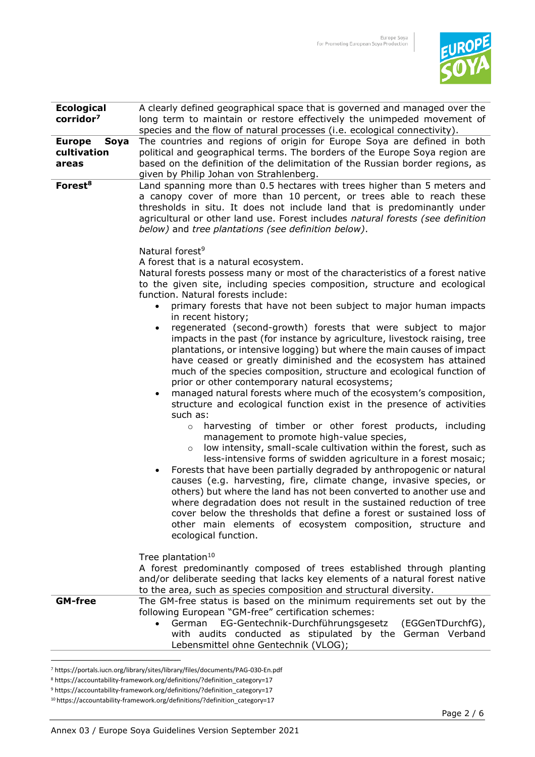

| <b>Ecological</b>     | A clearly defined geographical space that is governed and managed over the                                                                                                                                                                                                                                                                                                                                                                                                                                                                                                                                                                                                                                                                      |
|-----------------------|-------------------------------------------------------------------------------------------------------------------------------------------------------------------------------------------------------------------------------------------------------------------------------------------------------------------------------------------------------------------------------------------------------------------------------------------------------------------------------------------------------------------------------------------------------------------------------------------------------------------------------------------------------------------------------------------------------------------------------------------------|
| corridor <sup>7</sup> | long term to maintain or restore effectively the unimpeded movement of                                                                                                                                                                                                                                                                                                                                                                                                                                                                                                                                                                                                                                                                          |
|                       | species and the flow of natural processes (i.e. ecological connectivity).                                                                                                                                                                                                                                                                                                                                                                                                                                                                                                                                                                                                                                                                       |
| <b>Europe</b><br>Soya | The countries and regions of origin for Europe Soya are defined in both                                                                                                                                                                                                                                                                                                                                                                                                                                                                                                                                                                                                                                                                         |
| cultivation           | political and geographical terms. The borders of the Europe Soya region are                                                                                                                                                                                                                                                                                                                                                                                                                                                                                                                                                                                                                                                                     |
| areas                 | based on the definition of the delimitation of the Russian border regions, as                                                                                                                                                                                                                                                                                                                                                                                                                                                                                                                                                                                                                                                                   |
|                       | given by Philip Johan von Strahlenberg.                                                                                                                                                                                                                                                                                                                                                                                                                                                                                                                                                                                                                                                                                                         |
| Forest <sup>8</sup>   | Land spanning more than 0.5 hectares with trees higher than 5 meters and<br>a canopy cover of more than 10 percent, or trees able to reach these<br>thresholds in situ. It does not include land that is predominantly under<br>agricultural or other land use. Forest includes natural forests (see definition<br>below) and tree plantations (see definition below).<br>Natural forest <sup>9</sup><br>A forest that is a natural ecosystem.<br>Natural forests possess many or most of the characteristics of a forest native<br>to the given site, including species composition, structure and ecological<br>function. Natural forests include:<br>primary forests that have not been subject to major human impacts<br>in recent history; |
|                       | regenerated (second-growth) forests that were subject to major<br>$\bullet$<br>impacts in the past (for instance by agriculture, livestock raising, tree<br>plantations, or intensive logging) but where the main causes of impact<br>have ceased or greatly diminished and the ecosystem has attained<br>much of the species composition, structure and ecological function of<br>prior or other contemporary natural ecosystems;<br>managed natural forests where much of the ecosystem's composition,<br>$\bullet$<br>structure and ecological function exist in the presence of activities<br>such as:                                                                                                                                      |
|                       | harvesting of timber or other forest products, including<br>$\circ$<br>management to promote high-value species,<br>low intensity, small-scale cultivation within the forest, such as<br>$\circ$<br>less-intensive forms of swidden agriculture in a forest mosaic;<br>Forests that have been partially degraded by anthropogenic or natural<br>causes (e.g. harvesting, fire, climate change, invasive species, or<br>others) but where the land has not been converted to another use and<br>where degradation does not result in the sustained reduction of tree<br>cover below the thresholds that define a forest or sustained loss of<br>other main elements of ecosystem composition, structure and<br>ecological function.              |
|                       | Tree plantation <sup>10</sup><br>A forest predominantly composed of trees established through planting<br>and/or deliberate seeding that lacks key elements of a natural forest native<br>to the area, such as species composition and structural diversity.                                                                                                                                                                                                                                                                                                                                                                                                                                                                                    |
| <b>GM-free</b>        | The GM-free status is based on the minimum requirements set out by the<br>following European "GM-free" certification schemes:<br>EG-Gentechnik-Durchführungsgesetz<br>German<br>(EGGenTDurchfG),<br>$\bullet$<br>with audits conducted as stipulated by the German Verband<br>Lebensmittel ohne Gentechnik (VLOG);                                                                                                                                                                                                                                                                                                                                                                                                                              |

<sup>7</sup> https://portals.iucn.org/library/sites/library/files/documents/PAG-030-En.pdf

<sup>8</sup> https://accountability-framework.org/definitions/?definition\_category=17

<sup>9</sup> https://accountability-framework.org/definitions/?definition\_category=17

<sup>10</sup> https://accountability-framework.org/definitions/?definition\_category=17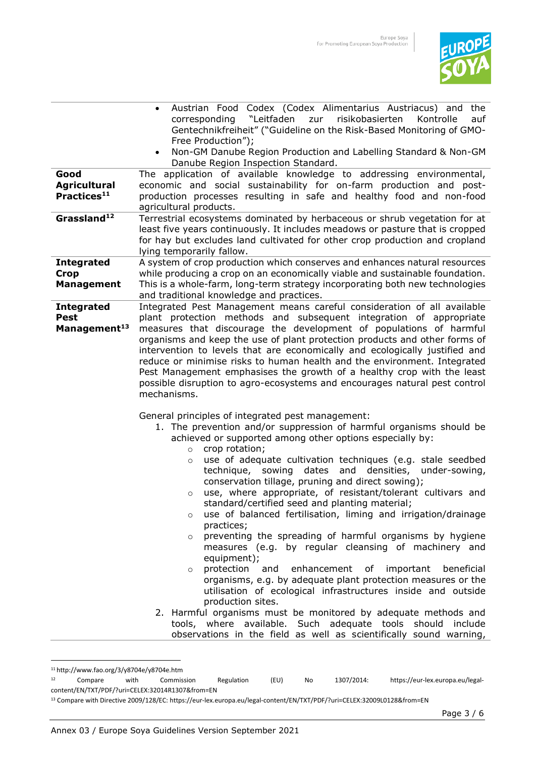

|                                                              | Austrian Food Codex (Codex Alimentarius Austriacus) and<br>the<br>$\bullet$<br>corresponding "Leitfaden<br>zur<br>risikobasierten<br>Kontrolle<br>auf<br>Gentechnikfreiheit" ("Guideline on the Risk-Based Monitoring of GMO-                                                                                                                                                                                                                                                                                                                                                                                                                                                                                                                                                                                                                                                                                                                                                                                                                                                                                                                                                                                                |
|--------------------------------------------------------------|------------------------------------------------------------------------------------------------------------------------------------------------------------------------------------------------------------------------------------------------------------------------------------------------------------------------------------------------------------------------------------------------------------------------------------------------------------------------------------------------------------------------------------------------------------------------------------------------------------------------------------------------------------------------------------------------------------------------------------------------------------------------------------------------------------------------------------------------------------------------------------------------------------------------------------------------------------------------------------------------------------------------------------------------------------------------------------------------------------------------------------------------------------------------------------------------------------------------------|
|                                                              | Free Production");<br>Non-GM Danube Region Production and Labelling Standard & Non-GM<br>$\bullet$<br>Danube Region Inspection Standard.                                                                                                                                                                                                                                                                                                                                                                                                                                                                                                                                                                                                                                                                                                                                                                                                                                                                                                                                                                                                                                                                                     |
| Good<br><b>Agricultural</b><br>Practices <sup>11</sup>       | The application of available knowledge to addressing environmental,<br>economic and social sustainability for on-farm production and post-<br>production processes resulting in safe and healthy food and non-food<br>agricultural products.                                                                                                                                                                                                                                                                                                                                                                                                                                                                                                                                                                                                                                                                                                                                                                                                                                                                                                                                                                                 |
| Grassland <sup>12</sup>                                      | Terrestrial ecosystems dominated by herbaceous or shrub vegetation for at<br>least five years continuously. It includes meadows or pasture that is cropped<br>for hay but excludes land cultivated for other crop production and cropland<br>lying temporarily fallow.                                                                                                                                                                                                                                                                                                                                                                                                                                                                                                                                                                                                                                                                                                                                                                                                                                                                                                                                                       |
| <b>Integrated</b><br><b>Crop</b><br><b>Management</b>        | A system of crop production which conserves and enhances natural resources<br>while producing a crop on an economically viable and sustainable foundation.<br>This is a whole-farm, long-term strategy incorporating both new technologies<br>and traditional knowledge and practices.                                                                                                                                                                                                                                                                                                                                                                                                                                                                                                                                                                                                                                                                                                                                                                                                                                                                                                                                       |
| <b>Integrated</b><br><b>Pest</b><br>Management <sup>13</sup> | Integrated Pest Management means careful consideration of all available<br>plant protection methods and subsequent integration of appropriate<br>measures that discourage the development of populations of harmful<br>organisms and keep the use of plant protection products and other forms of<br>intervention to levels that are economically and ecologically justified and<br>reduce or minimise risks to human health and the environment. Integrated<br>Pest Management emphasises the growth of a healthy crop with the least<br>possible disruption to agro-ecosystems and encourages natural pest control<br>mechanisms.                                                                                                                                                                                                                                                                                                                                                                                                                                                                                                                                                                                          |
|                                                              | General principles of integrated pest management:<br>1. The prevention and/or suppression of harmful organisms should be<br>achieved or supported among other options especially by:<br>crop rotation;<br>$\circ$<br>use of adequate cultivation techniques (e.g. stale seedbed<br>$\circ$<br>sowing<br>dates<br>and<br>densities,<br>technique,<br>under-sowing,<br>conservation tillage, pruning and direct sowing);<br>use, where appropriate, of resistant/tolerant cultivars and<br>$\circ$<br>standard/certified seed and planting material;<br>use of balanced fertilisation, liming and irrigation/drainage<br>$\circ$<br>practices;<br>preventing the spreading of harmful organisms by hygiene<br>$\circ$<br>measures (e.g. by regular cleansing of machinery and<br>equipment);<br>protection and<br>enhancement of important<br>beneficial<br>$\circ$<br>organisms, e.g. by adequate plant protection measures or the<br>utilisation of ecological infrastructures inside and outside<br>production sites.<br>2. Harmful organisms must be monitored by adequate methods and<br>tools, where available. Such adequate tools should include<br>observations in the field as well as scientifically sound warning, |

<sup>&</sup>lt;sup>11</sup> http://www.fao.org/3/y8704e/y8704e.htm<br><sup>12</sup> Compare with Commis

<sup>12</sup> Compare with Commission Regulation (EU) No 1307/2014: [https://eur-lex.europa.eu/legal](https://eur-lex.europa.eu/legal-content/EN/TXT/PDF/?uri=CELEX:32014R1307&from=EN)[content/EN/TXT/PDF/?uri=CELEX:32014R1307&from=EN](https://eur-lex.europa.eu/legal-content/EN/TXT/PDF/?uri=CELEX:32014R1307&from=EN)

<sup>13</sup> Compare with Directive 2009/128/EC: [https://eur-lex.europa.eu/legal-content/EN/TXT/PDF/?uri=CELEX:32009L0128&from=EN](https://eur-lex.europa.eu/legal-content/EN/TXT/PDF/?uri=CELEX:32009L0128&from=DE)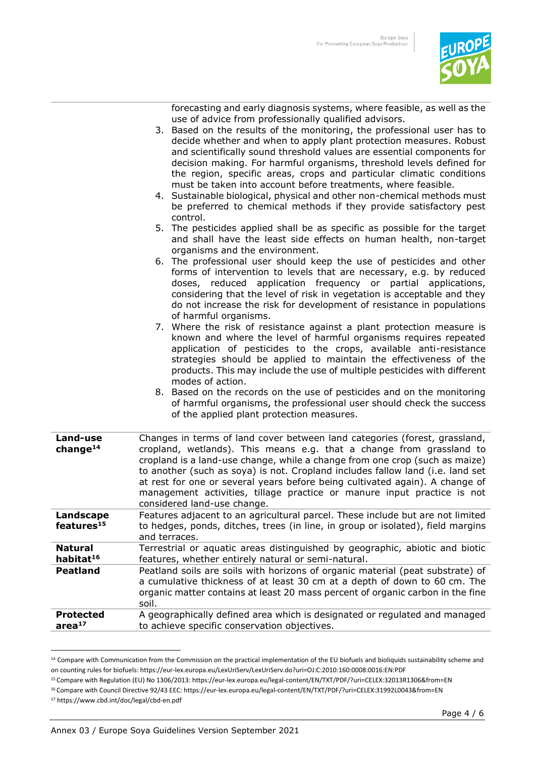

forecasting and early diagnosis systems, where feasible, as well as the use of advice from professionally qualified advisors.

- 3. Based on the results of the monitoring, the professional user has to decide whether and when to apply plant protection measures. Robust and scientifically sound threshold values are essential components for decision making. For harmful organisms, threshold levels defined for the region, specific areas, crops and particular climatic conditions must be taken into account before treatments, where feasible.
	- 4. Sustainable biological, physical and other non-chemical methods must be preferred to chemical methods if they provide satisfactory pest control.
	- 5. The pesticides applied shall be as specific as possible for the target and shall have the least side effects on human health, non-target organisms and the environment.
	- 6. The professional user should keep the use of pesticides and other forms of intervention to levels that are necessary, e.g. by reduced doses, reduced application frequency or partial applications, considering that the level of risk in vegetation is acceptable and they do not increase the risk for development of resistance in populations of harmful organisms.
	- 7. Where the risk of resistance against a plant protection measure is known and where the level of harmful organisms requires repeated application of pesticides to the crops, available anti-resistance strategies should be applied to maintain the effectiveness of the products. This may include the use of multiple pesticides with different modes of action.
	- 8. Based on the records on the use of pesticides and on the monitoring of harmful organisms, the professional user should check the success of the applied plant protection measures.

| Land-use<br>change $14$                 | Changes in terms of land cover between land categories (forest, grassland,<br>cropland, wetlands). This means e.g. that a change from grassland to<br>cropland is a land-use change, while a change from one crop (such as maize)<br>to another (such as soya) is not. Cropland includes fallow land (i.e. land set<br>at rest for one or several years before being cultivated again). A change of<br>management activities, tillage practice or manure input practice is not<br>considered land-use change. |
|-----------------------------------------|---------------------------------------------------------------------------------------------------------------------------------------------------------------------------------------------------------------------------------------------------------------------------------------------------------------------------------------------------------------------------------------------------------------------------------------------------------------------------------------------------------------|
| Landscape<br>features <sup>15</sup>     | Features adjacent to an agricultural parcel. These include but are not limited<br>to hedges, ponds, ditches, trees (in line, in group or isolated), field margins<br>and terraces.                                                                                                                                                                                                                                                                                                                            |
| <b>Natural</b><br>habitat <sup>16</sup> | Terrestrial or aquatic areas distinguished by geographic, abiotic and biotic<br>features, whether entirely natural or semi-natural.                                                                                                                                                                                                                                                                                                                                                                           |
| <b>Peatland</b>                         | Peatland soils are soils with horizons of organic material (peat substrate) of<br>a cumulative thickness of at least 30 cm at a depth of down to 60 cm. The<br>organic matter contains at least 20 mass percent of organic carbon in the fine<br>soil.                                                                                                                                                                                                                                                        |
| <b>Protected</b><br>area <sup>17</sup>  | A geographically defined area which is designated or regulated and managed<br>to achieve specific conservation objectives.                                                                                                                                                                                                                                                                                                                                                                                    |

<sup>&</sup>lt;sup>14</sup> Compare with Communication from the Commission on the practical implementation of the EU biofuels and bioliquids sustainability scheme and on counting rules for biofuels[: https://eur-lex.europa.eu/LexUriServ/LexUriServ.do?uri=OJ:C:2010:160:0008:0016:EN:PDF](https://eur-lex.europa.eu/LexUriServ/LexUriServ.do?uri=OJ:C:2010:160:0008:0016:EN:PDF) 

<sup>15</sup> Compare with Regulation (EU) No 1306/2013: https://eur-lex.europa.eu/legal-content/EN/TXT/PDF/?uri=CELEX:32013R1306&from=EN

<sup>16</sup> Compare with Council Directive 92/43 EEC[: https://eur-lex.europa.eu/legal-content/EN/TXT/PDF/?uri=CELEX:31992L0043&from=EN](https://eur-lex.europa.eu/legal-content/EN/TXT/PDF/?uri=CELEX:31992L0043&from=DE)

<sup>17</sup><https://www.cbd.int/doc/legal/cbd-en.pdf>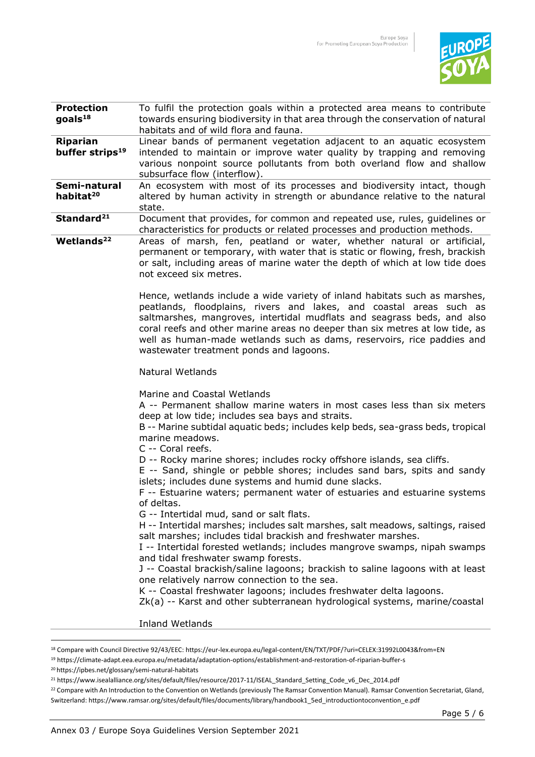

| <b>Protection</b><br>$\text{goals}^{18}$       | To fulfil the protection goals within a protected area means to contribute<br>towards ensuring biodiversity in that area through the conservation of natural<br>habitats and of wild flora and fauna.                                                                                                                                               |
|------------------------------------------------|-----------------------------------------------------------------------------------------------------------------------------------------------------------------------------------------------------------------------------------------------------------------------------------------------------------------------------------------------------|
| <b>Riparian</b><br>buffer strips <sup>19</sup> | Linear bands of permanent vegetation adjacent to an aquatic ecosystem<br>intended to maintain or improve water quality by trapping and removing<br>various nonpoint source pollutants from both overland flow and shallow<br>subsurface flow (interflow).                                                                                           |
| Semi-natural<br>habitat <sup>20</sup>          | An ecosystem with most of its processes and biodiversity intact, though<br>altered by human activity in strength or abundance relative to the natural<br>state.                                                                                                                                                                                     |
| Standard <sup>21</sup>                         | Document that provides, for common and repeated use, rules, guidelines or<br>characteristics for products or related processes and production methods.                                                                                                                                                                                              |
| Wetlands <sup>22</sup>                         | Areas of marsh, fen, peatland or water, whether natural or artificial,<br>permanent or temporary, with water that is static or flowing, fresh, brackish<br>or salt, including areas of marine water the depth of which at low tide does<br>not exceed six metres.<br>Hence, wetlands include a wide variety of inland habitats such as marshes,     |
|                                                | peatlands, floodplains, rivers and lakes, and coastal areas such as<br>saltmarshes, mangroves, intertidal mudflats and seagrass beds, and also<br>coral reefs and other marine areas no deeper than six metres at low tide, as<br>well as human-made wetlands such as dams, reservoirs, rice paddies and<br>wastewater treatment ponds and lagoons. |
|                                                | <b>Natural Wetlands</b>                                                                                                                                                                                                                                                                                                                             |
|                                                | Marine and Coastal Wetlands<br>A -- Permanent shallow marine waters in most cases less than six meters<br>deep at low tide; includes sea bays and straits.<br>B -- Marine subtidal aquatic beds; includes kelp beds, sea-grass beds, tropical<br>marine meadows.<br>C -- Coral reefs.                                                               |
|                                                | D -- Rocky marine shores; includes rocky offshore islands, sea cliffs.<br>E -- Sand, shingle or pebble shores; includes sand bars, spits and sandy<br>islets; includes dune systems and humid dune slacks.<br>F -- Estuarine waters; permanent water of estuaries and estuarine systems<br>of deltas.                                               |
|                                                | G -- Intertidal mud, sand or salt flats.<br>H -- Intertidal marshes; includes salt marshes, salt meadows, saltings, raised<br>salt marshes; includes tidal brackish and freshwater marshes.<br>I -- Intertidal forested wetlands; includes mangrove swamps, nipah swamps<br>and tidal freshwater swamp forests.                                     |
|                                                | J -- Coastal brackish/saline lagoons; brackish to saline lagoons with at least<br>one relatively narrow connection to the sea.<br>K -- Coastal freshwater lagoons; includes freshwater delta lagoons.<br>Zk(a) -- Karst and other subterranean hydrological systems, marine/coastal                                                                 |
|                                                | <b>Inland Wetlands</b>                                                                                                                                                                                                                                                                                                                              |
|                                                |                                                                                                                                                                                                                                                                                                                                                     |

<sup>18</sup> Compare with Council Directive 92/43/EEC[: https://eur-lex.europa.eu/legal-content/EN/TXT/PDF/?uri=CELEX:31992L0043&from=EN](https://eur-lex.europa.eu/legal-content/EN/TXT/PDF/?uri=CELEX:31992L0043&from=DE)

<sup>19</sup> https://climate-adapt.eea.europa.eu/metadata/adaptation-options/establishment-and-restoration-of-riparian-buffer-s

<sup>20</sup> https://ipbes.net/glossary/semi-natural-habitats

<sup>21</sup> https://www.isealalliance.org/sites/default/files/resource/2017-11/ISEAL\_Standard\_Setting\_Code\_v6\_Dec\_2014.pdf

<sup>&</sup>lt;sup>22</sup> Compare with An Introduction to the Convention on Wetlands (previously The Ramsar Convention Manual). Ramsar Convention Secretariat, Gland, Switzerland[: https://www.ramsar.org/sites/default/files/documents/library/handbook1\\_5ed\\_introductiontoconvention\\_e.pdf](https://www.ramsar.org/sites/default/files/documents/library/handbook1_5ed_introductiontoconvention_e.pdf)